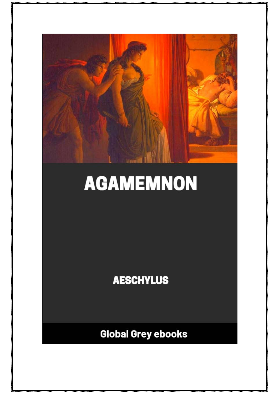

# **AGAMEMNON**

**AESCHYLUS** 

**Global Grey ebooks**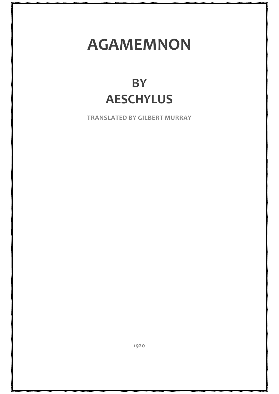## **AGAMEMNON**

### **BY AESCHYLUS**

**TRANSLATED BY GILBERT MURRAY**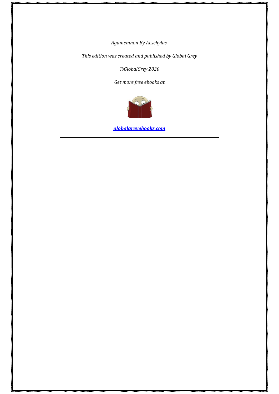*Agamemnon By Aeschylus.*

*This edition was created and published by Global Grey*

*©GlobalGrey 2020*

*Get more free ebooks at*



*[globalgreyebooks.com](https://www.globalgreyebooks.com/index.html)*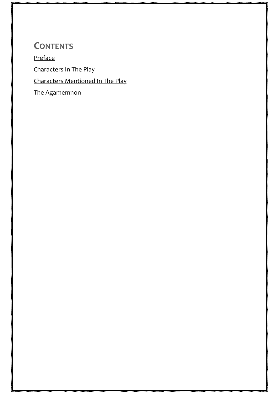**CONTENTS** [Preface](#page-4-0) [Characters In The Play](#page-10-0) [Characters Mentioned In The Play](#page-11-0) [The Agamemnon](#page-12-0)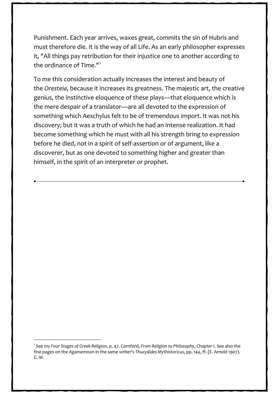Punishment. Each year arrives, waxes great, commits the sin of Hubris and must therefore die. It is the way of all Life. As an early philosopher expresses it, "All things pay retribution for their injustice one to another according to the ordinance of Time."[1](#page-9-0)

To me this consideration actually increases the interest and beauty of the *Oresteia*, because it increases its greatness. The majestic art, the creative genius, the instinctive eloquence of these plays—that eloquence which is the mere despair of a translator—are all devoted to the expression of something which Aeschylus felt to be of tremendous import. It was not his discovery; but it was a truth of which he had an intense realization. It had become something which he must with all his strength bring to expression before he died, not in a spirit of self-assertion or of argument, like a discoverer, but as one devoted to something higher and greater than himself, in the spirit of an interpreter or prophet.

<span id="page-9-0"></span>1 See my *Four Stages of Greek Religion*, p. 47. Cornford, *From Religion to Philosophy*, Chapter I. See also the fine pages on the Agamemnon in the same writer's *Thucydides Mythistoricus*, pp. 144, ff. (E. Arnold 1907). G. M.

6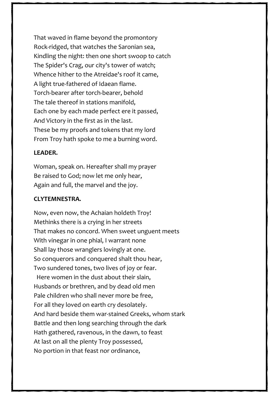That waved in flame beyond the promontory Rock-ridged, that watches the Saronian sea, Kindling the night: then one short swoop to catch The Spider's Crag, our city's tower of watch; Whence hither to the Atreidae's roof it came, A light true-fathered of Idaean flame. Torch-bearer after torch-bearer, behold The tale thereof in stations manifold, Each one by each made perfect ere it passed, And Victory in the first as in the last. These be my proofs and tokens that my lord From Troy hath spoke to me a burning word.

#### **LEADER.**

Woman, speak on. Hereafter shall my prayer Be raised to God; now let me only hear, Again and full, the marvel and the joy.

#### **CLYTEMNESTRA.**

Now, even now, the Achaian holdeth Troy! Methinks there is a crying in her streets That makes no concord. When sweet unguent meets With vinegar in one phial, I warrant none Shall lay those wranglers lovingly at one. So conquerors and conquered shalt thou hear, Two sundered tones, two lives of joy or fear. Here women in the dust about their slain, Husbands or brethren, and by dead old men Pale children who shall never more be free, For all they loved on earth cry desolately. And hard beside them war-stained Greeks, whom stark Battle and then long searching through the dark Hath gathered, ravenous, in the dawn, to feast At last on all the plenty Troy possessed, No portion in that feast nor ordinance,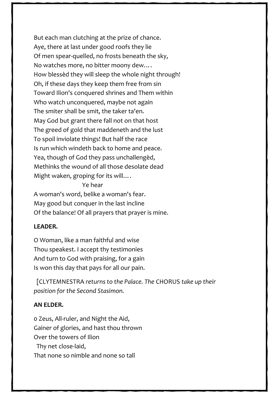But each man clutching at the prize of chance. Aye, there at last under good roofs they lie Of men spear-quelled, no frosts beneath the sky, No watches more, no bitter moony dew…. How blessèd they will sleep the whole night through! Oh, if these days they keep them free from sin Toward Ilion's conquered shrines and Them within Who watch unconquered, maybe not again The smiter shall be smit, the taker ta'en. May God but grant there fall not on that host The greed of gold that maddeneth and the lust To spoil inviolate things! But half the race Is run which windeth back to home and peace. Yea, though of God they pass unchallengèd, Methinks the wound of all those desolate dead Might waken, groping for its will….

Ye hear

A woman's word, belike a woman's fear. May good but conquer in the last incline Of the balance! Of all prayers that prayer is mine.

#### **LEADER.**

O Woman, like a man faithful and wise Thou speakest. I accept thy testimonies And turn to God with praising, for a gain Is won this day that pays for all our pain.

 [CLYTEMNESTRA *returns to the Palace. The* CHORUS *take up their position for the Second Stasimon.*

#### **AN ELDER.**

0 Zeus, All-ruler, and Night the Aid, Gainer of glories, and hast thou thrown Over the towers of Ilion Thy net close-laid, That none so nimble and none so tall